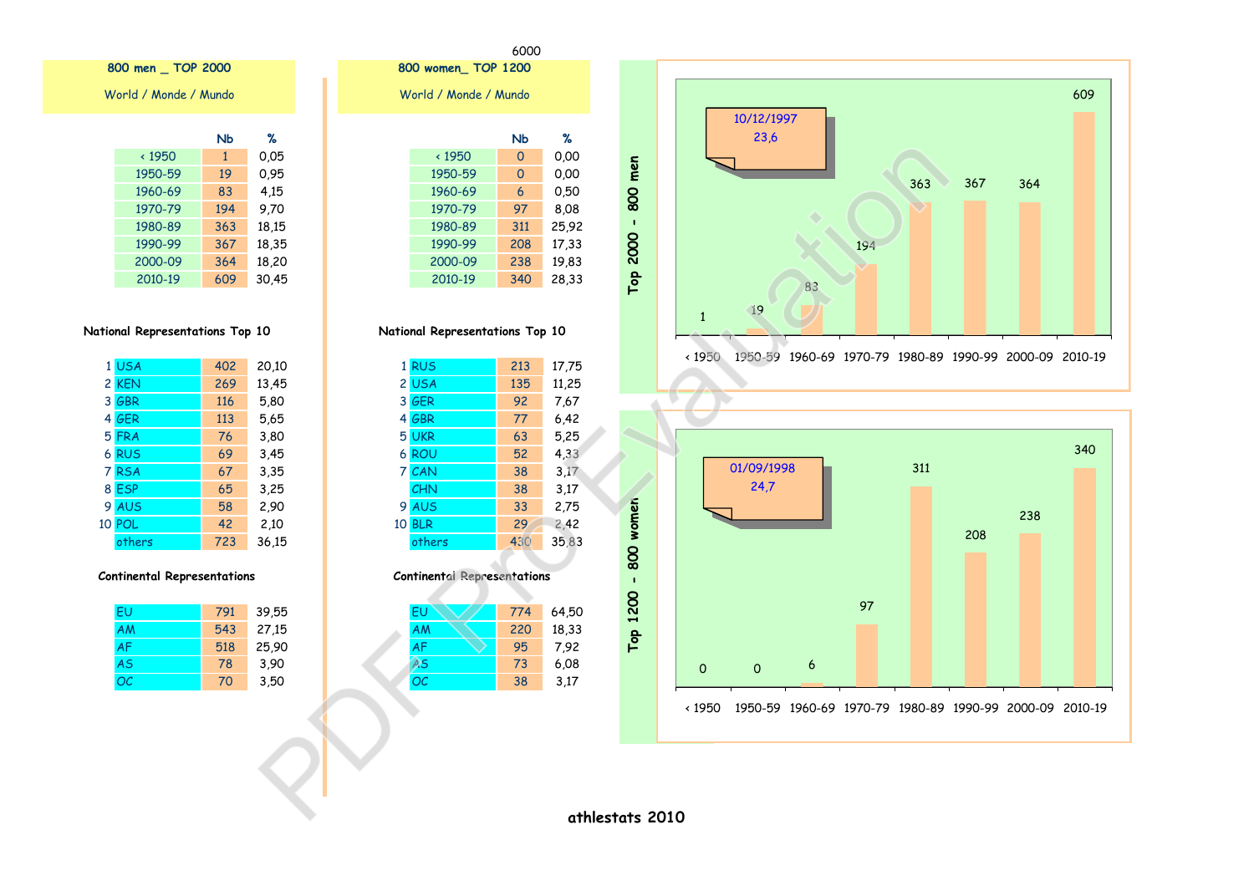





|              | סצו | æ     |
|--------------|-----|-------|
| $\cdot$ 1950 | 0   | 0.00  |
| 1950-59      | 0   | 0.00  |
| 1960-69      | 6   | 0,50  |
| 1970-79      | 97  | 8,08  |
| 1980-89      | 311 | 25,92 |
| 1990-99      | 208 | 17,33 |
| 2000-09      | 238 | 19,83 |
| 2010-19      | 340 | 28,33 |

 $\overline{\phantom{a}}$ 

### National Representations Top 10

|    | 1 RUS      | 213 | 17,75 |
|----|------------|-----|-------|
|    | 2 USA      | 135 | 11,25 |
|    | 3 GER      | 92  | 7,67  |
|    | 4 GBR      | 77  | 6,42  |
|    | 5 UKR      | 63  | 5,25  |
|    | 6 ROU      | 52  | 4,33  |
|    | 7 CAN      | 38  | 3.17  |
|    | CHN        | 38  | 3,17  |
| 9  | <b>AUS</b> | 33  | 2,75  |
| 10 | <b>BLR</b> | 29  | 2,42  |
|    | others     | 430 | 35,83 |
|    |            |     |       |

#### **Continental Representations**

| EU        | 774 | 64,50 |
|-----------|-----|-------|
| AM        | 220 | 18,33 |
| AF        | 95  | 7.92  |
| AS        | 73  | 6,08  |
| <b>OC</b> | 38  | 3,17  |
|           |     |       |

## 800 men \_ TOP 2000

World / Monde / Mundo

| %     | NЬ           |               |
|-------|--------------|---------------|
| 0.05  | $\mathbf{1}$ | $\times$ 1950 |
| 0.95  | 19           | 1950-59       |
| 4,15  | 83           | 1960-69       |
| 9.70  | 194          | 1970-79       |
| 18,15 | 363          | 1980-89       |
| 18,35 | 367          | 1990-99       |
| 18,20 | 364          | 2000-09       |
| 30.45 | 609          | 2010-19       |

### National Representations Top 10

|   | 1 USA      | 402 | 20,10 |
|---|------------|-----|-------|
|   | 2 KEN      | 269 | 13,45 |
|   | 3 GBR      | 116 | 5,80  |
|   | 4 GER      | 113 | 5,65  |
|   | 5 FRA      | 76  | 3,80  |
|   | 6 RUS      | 69  | 3,45  |
| 7 | <b>RSA</b> | 67  | 3,35  |
|   | 8 ESP      | 65  | 3,25  |
|   | 9 AUS      | 58  | 2,90  |
|   | 10 POL     | 42  | 2,10  |
|   | others     | 723 | 36.15 |

#### **Continental Representations**

| FU        | 791 | 39,55 |
|-----------|-----|-------|
| <b>AM</b> | 543 | 27,15 |
| <b>AF</b> | 518 | 25,90 |
| <b>AS</b> | 78  | 3,90  |
| OC        | 70  | 3,50  |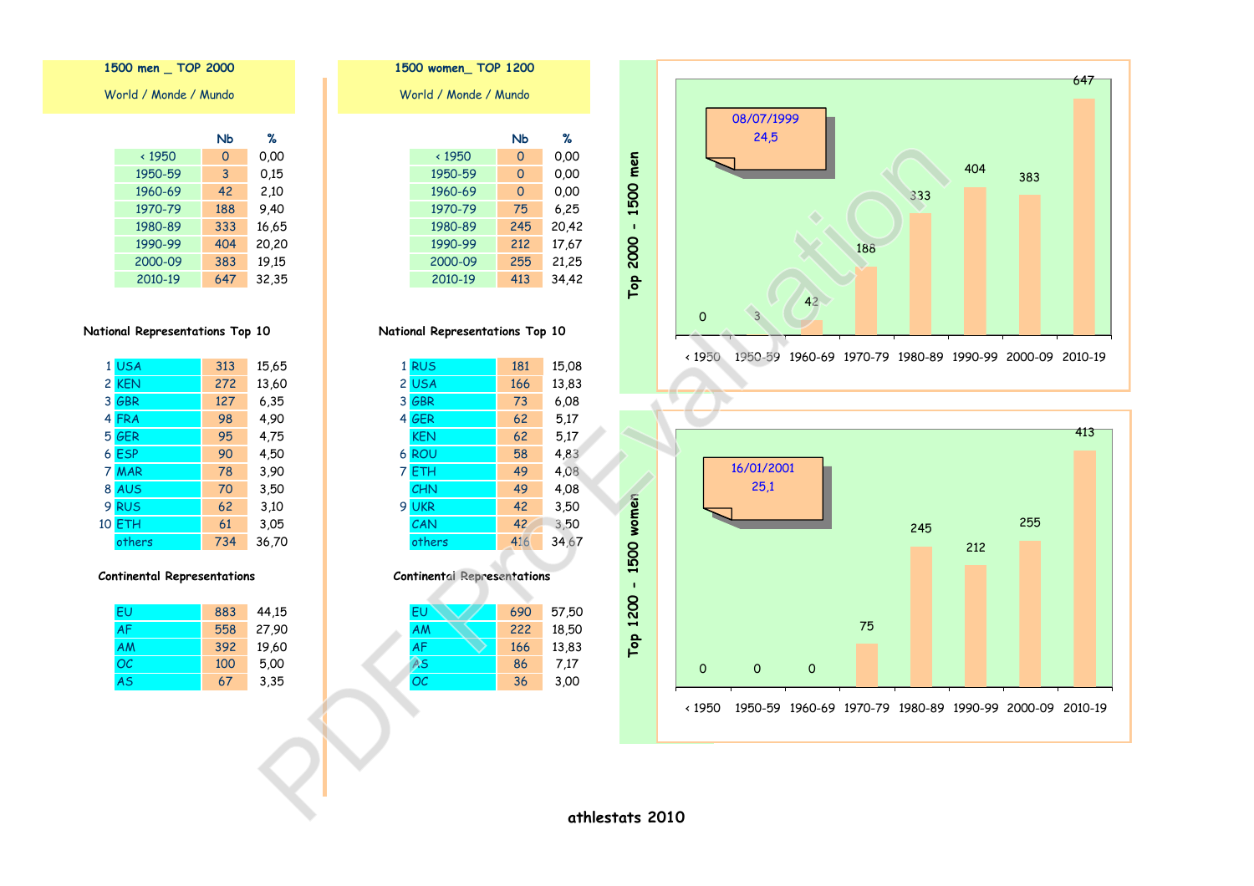|               | NЬ  | ℅     |
|---------------|-----|-------|
| $\times$ 1950 | O   | 0,00  |
| 1950-59       | 3   | 0.15  |
| 1960-69       | 42  | 2,10  |
| 1970-79       | 188 | 9.40  |
| 1980-89       | 333 | 16,65 |
| 1990-99       | 404 | 20,20 |
| 2000-09       | 383 | 19,15 |
| 2010-19       | 647 | 32,35 |

1500 men \_ TOP 2000

World / Monde / Mundo

## National Representations Top 10

| 1 USA  | 313 | 15,65 |
|--------|-----|-------|
| 2 KEN  | 272 | 13,60 |
| 3 GBR  | 127 | 6,35  |
| 4 FRA  | 98  | 4,90  |
| 5 GER  | 95  | 4,75  |
| 6 ESP  | 90  | 4,50  |
| 7 MAR  | 78  | 3,90  |
| 8 AUS  | 70  | 3,50  |
| 9 RUS  | 62  | 3,10  |
| 10 ETH | 61  | 3,05  |
| others | 734 | 36,70 |

### **Continental Representations**

| FU        | 883 | 44,15 |
|-----------|-----|-------|
| <b>AF</b> | 558 | 27,90 |
| <b>AM</b> | 392 | 19,60 |
| OC        | 100 | 5,00  |
| <b>AS</b> | 67  | 3,35  |

|                       | 1500 WOMEN TOP IZOU |     |       |
|-----------------------|---------------------|-----|-------|
| World / Monde / Mundo |                     |     |       |
|                       |                     |     |       |
|                       |                     | Nb  | %     |
|                       | $\cdot$ 1950        | 0   | 0.00  |
|                       | 1950-59             | 0   | 0.00  |
|                       | 1960-69             | 0   | 0.00  |
|                       | 1970-79             | 75  | 6,25  |
|                       | 1980-89             | 245 | 20,42 |
|                       | 1990-99             | 212 | 17,67 |
|                       | 2000-09             | 255 | 21,25 |
|                       | 2010-19             | 413 | 34,42 |
|                       |                     |     |       |

National Representations Top 10

| 1 RUS           | 181 | 15,08 |
|-----------------|-----|-------|
| 2 USA           | 166 | 13,83 |
| 3 GBR           | 73  | 6.08  |
| 4 GER           | 62  | 5.17  |
| <b>KEN</b>      | 62  | 5.17  |
| 6 ROU           | 58  | 4,83  |
| 7 ETH           | 49  | 4,08  |
| CHN             | 49  | 4.08  |
| <b>UKR</b><br>9 | 42  | 3,50  |
| CAN             | 42  | 3,50  |
| others          | 416 | 34,67 |
|                 |     |       |

### **Continental Representations**

| EU        | 690 | 57,50 |
|-----------|-----|-------|
| <b>AM</b> | 222 | 18,50 |
| <b>AF</b> | 166 | 13,83 |
| AS        | 86  | 7,17  |
| <b>OC</b> | 36  | 3,00  |
|           |     |       |





athlestats 2010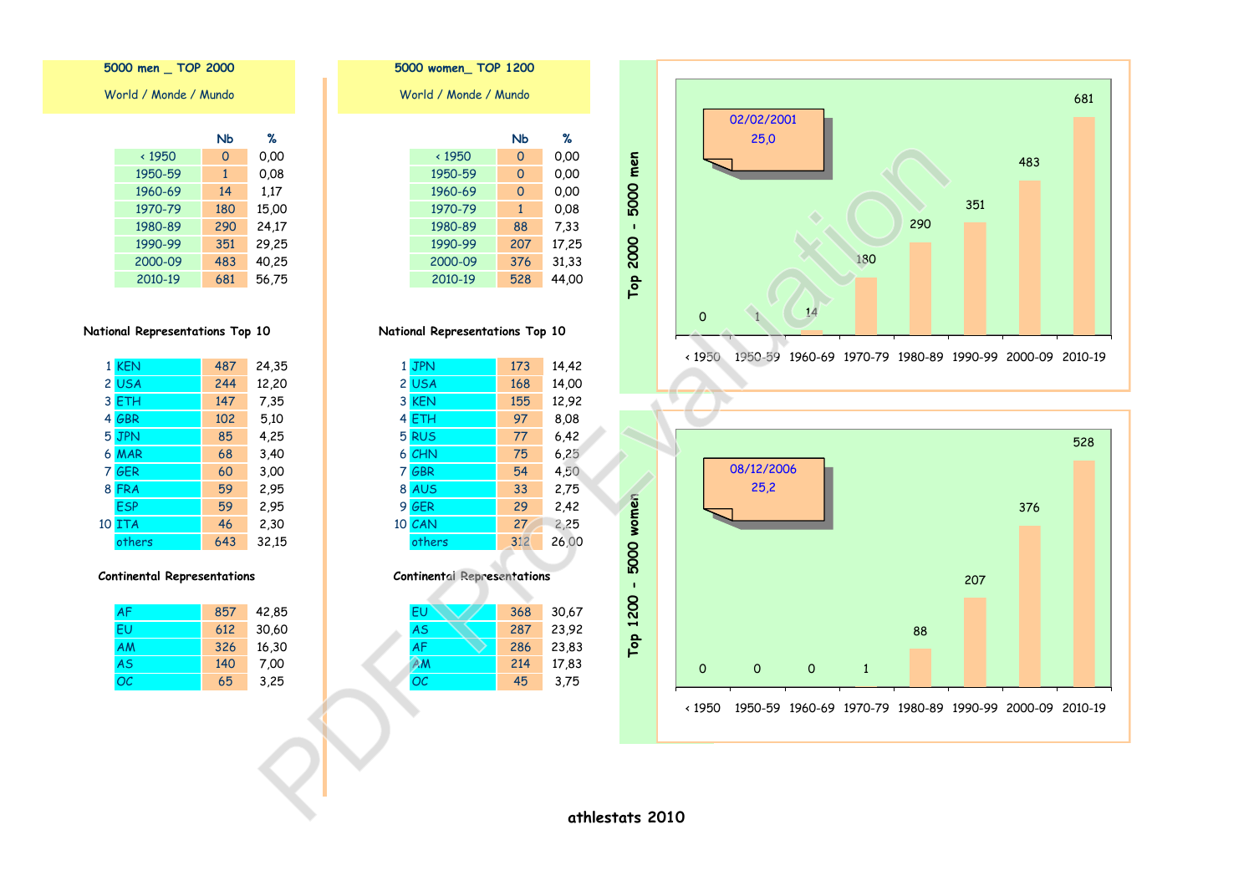

5000 women\_TOP 1200 World / Monde / Mundo  $\%$  $N<sub>b</sub>$  $0.00$  $\times 1950$  $\overline{0}$ 0,00 1950-59  $\bullet$  $0,00$ 1960-69  $\circ$ 0,08 1970-79  $\overline{1}$ 88  $7,33$ 1980-89 17,25 1990-99 207 31,33 2000-09 376 2010-19 528 44,00

## National Representations Top 10

|   | 1 JPN  | 173 | 14,42 |
|---|--------|-----|-------|
|   | 2 USA  | 168 | 14,00 |
|   | 3 KEN  | 155 | 12,92 |
|   | 4 ETH  | 97  | 8,08  |
|   | 5 RUS  | 77  | 6,42  |
|   | 6 CHN  | 75  | 6,25  |
| 7 | GBR    | 54  | 4,50  |
|   | 8 AUS  | 33  | 2,75  |
|   | 9 GER  | 29  | 2,42  |
|   | 10 CAN | 27  | 2,25  |
|   | others | 312 | 26,00 |

#### **Continental Representations**

| EU        | 368 | 30,67 |
|-----------|-----|-------|
| <b>AS</b> | 287 | 23,92 |
| <b>AF</b> | 286 | 23,83 |
| ΑM        | 214 | 17,83 |
| OC        | 45  | 3,75  |
|           |     |       |

5000 men \_ TOP 2000

World / Monde / Mundo

| ℁     | NЬ  |               |
|-------|-----|---------------|
| 0.00  | 0   | $\times$ 1950 |
| 0.08  | 1   | 1950-59       |
| 1.17  | 14  | 1960-69       |
| 15,00 | 180 | 1970-79       |
| 24,17 | 290 | 1980-89       |
| 29,25 | 351 | 1990-99       |
| 40,25 | 483 | 2000-09       |
| 56,75 | 681 | 2010-19       |

## National Representations Top 10

|    | 1 KEN      | 487 | 24,35 |
|----|------------|-----|-------|
|    | 2 USA      | 244 | 12,20 |
|    | 3 ETH      | 147 | 7,35  |
|    | 4 GBR      | 102 | 5.10  |
|    | 5 JPN      | 85  | 4,25  |
|    | 6 MAR      | 68  | 3,40  |
|    | 7 GER      | 60  | 3,00  |
|    | 8 FRA      | 59  | 2,95  |
|    | <b>ESP</b> | 59  | 2,95  |
| 10 | <b>ITA</b> | 46  | 2,30  |
|    | others     | 643 | 32,15 |

#### **Continental Representations**

| <b>AF</b> | 857 | 42,85 |
|-----------|-----|-------|
| FU        | 612 | 30,60 |
| AM        | 326 | 16,30 |
| <b>AS</b> | 140 | 7,00  |
| OC        | 65  | 3,25  |

athlestats 2010

Top 2000 - 5000 men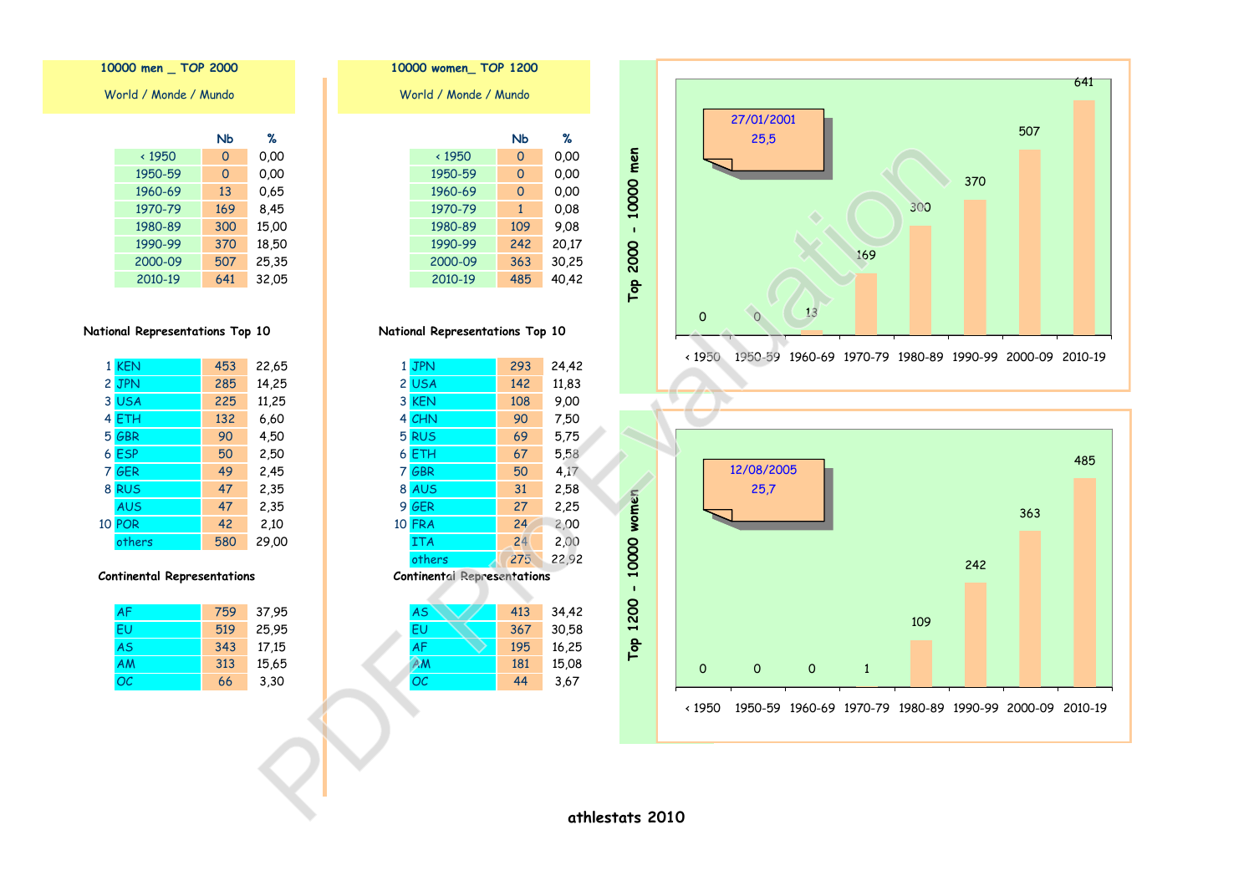641 27/01/2001 507  $25.5$ 370 300 169 13  $\circ$  $\circ$  $\times 1950$ 1950-59 1960-69 1970-79 1980-89 1990-99 2000-09 2010-19





National Representations Top 10

|                                    | 1 JPN         | 293 | 24,42 |
|------------------------------------|---------------|-----|-------|
|                                    | 2 USA         | 142 | 11,83 |
|                                    | 3 KEN         | 108 | 9,00  |
|                                    | 4 CHN         | 90  | 7,50  |
|                                    | 5 RUS         | 69  | 5,75  |
|                                    | 6 ETH         | 67  | 5,58  |
| 7                                  | GBR           | 50  | 4.17  |
|                                    | 8 AUS         | 31  | 2,58  |
|                                    | 9 GER         | 27  | 2,25  |
|                                    | <b>10 FRA</b> | 24  | 2,00  |
|                                    | <b>ITA</b>    | 24  | 2,00  |
|                                    | others        | 275 | 22,92 |
| <b>Continental Representations</b> |               |     |       |
|                                    |               |     |       |
|                                    | AS            | 413 | 34,42 |
|                                    |               |     |       |

| no | 415 | 54,44 |
|----|-----|-------|
| FU | 367 | 30,58 |
| AF | 195 | 16,25 |
| ΑM | 181 | 15,08 |
| ОC | 44  | 3,67  |

10000 men \_ TOP 2000

World / Monde / Mundo

|               | NЬ       | ℅     |
|---------------|----------|-------|
| $\times$ 1950 | 0        | 0.00  |
| 1950-59       | $\Omega$ | 0.00  |
| 1960-69       | 13       | 0.65  |
| 1970-79       | 169      | 8,45  |
| 1980-89       | 300      | 15,00 |
| 1990-99       | 370      | 18,50 |
| 2000-09       | 507      | 25,35 |
| 2010-19       | 641      | 32,05 |

### National Representations Top 10

| 1 KEN         | 453 | 22,65 |
|---------------|-----|-------|
| 2 JPN         | 285 | 14,25 |
| 3 USA         | 225 | 11,25 |
| 4 ETH         | 132 | 6,60  |
| 5 GBR         | 90  | 4,50  |
| 6 ESP         | 50  | 2,50  |
| 7 GER         | 49  | 2,45  |
| 8 RUS         | 47  | 2,35  |
| <b>AUS</b>    | 47  | 2,35  |
| <b>10 POR</b> | 42  | 2,10  |
| others        | 580 | 29,00 |

#### **Continental Representations**

| AF | 759 | 37,95 |
|----|-----|-------|
| FU | 519 | 25,95 |
| AS | 343 | 17,15 |
| AM | 313 | 15,65 |
| OC | 66  | 3,30  |

athlestats 2010

Top 2000 - 10000 men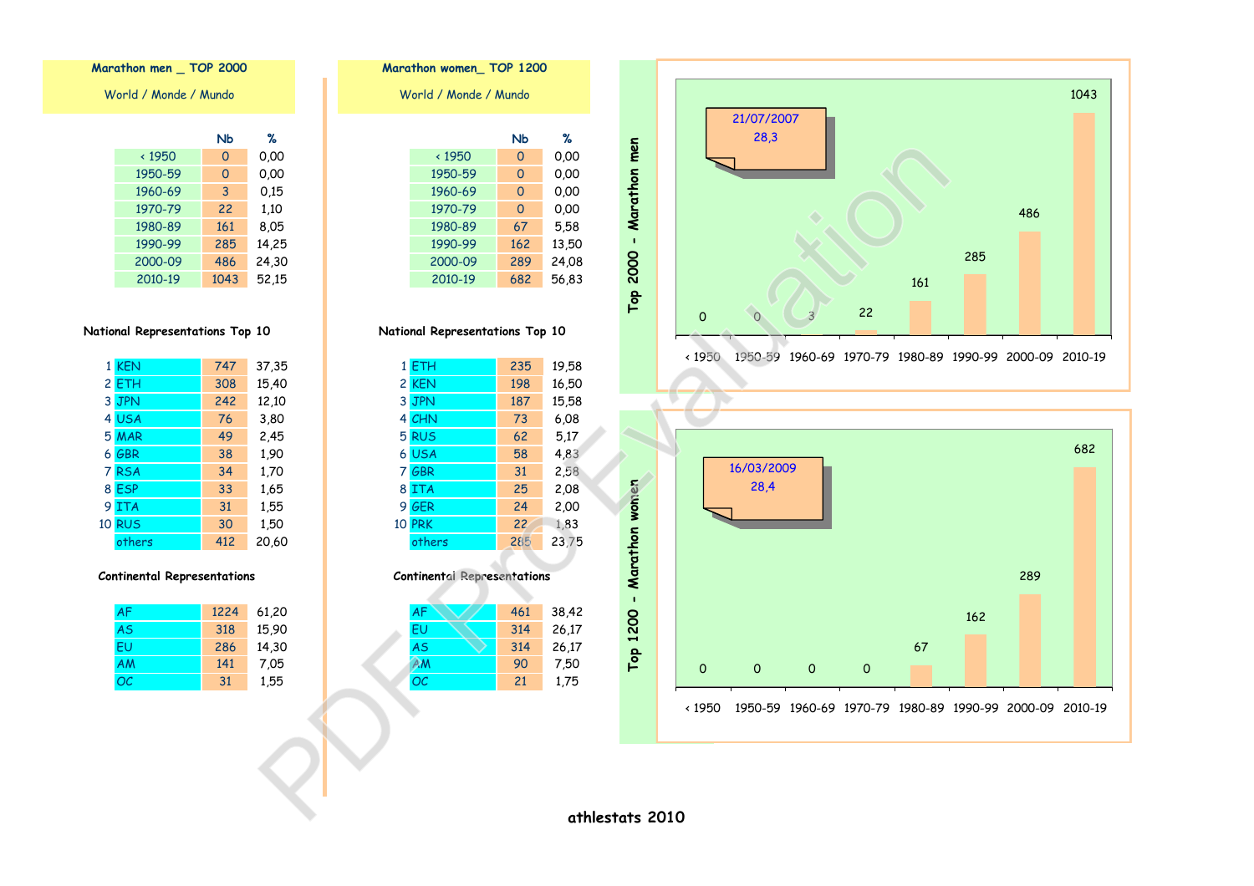



#### Marathon women\_TOP 1200 World / Monde / Mundo **N<sub>b</sub>**  $\times 1950$  $\overline{0}$ 1950-59  $\overline{0}$ 1960-69  $\overline{0}$ 1970-79  $\overline{0}$ 1980-89 67

 $\%$  $0.00$  $0,00$  $0,00$  $0.00$ 5,58 1990-99 162 13,50 2000-09 289 24,08 2010-19 682 56,83

## National Representations Top 10

|   | 1 ETH         | 235 | 19,58 |
|---|---------------|-----|-------|
|   | 2 KEN         | 198 | 16,50 |
|   | 3 JPN         | 187 | 15,58 |
|   | 4 CHN         | 73  | 6.08  |
|   | 5 RUS         | 62  | 5,17  |
|   | 6 USA         | 58  | 4,83  |
| 7 | GBR           | 31  | 2,58  |
|   | 8 ITA         | 25  | 2,08  |
|   | 9 GER         | 24  | 2,00  |
|   | <b>10 PRK</b> | 22  | 1,83  |
|   | others        | 285 | 23,75 |

#### **Continental Representations**

| <b>AF</b> | 461 | 38,42 |
|-----------|-----|-------|
| EU        | 314 | 26,17 |
| <b>AS</b> | 314 | 26,17 |
| ΑM        | 90  | 7,50  |
| OC        | 21  | 1,75  |
|           |     |       |

# Marathon men \_ TOP 2000

World / Monde / Mundo

|               | NЬ   | ℅     |
|---------------|------|-------|
| $\times$ 1950 | 0    | 0.00  |
| 1950-59       | 0    | 0.00  |
| 1960-69       | 3    | 0.15  |
| 1970-79       | 22   | 1,10  |
| 1980-89       | 161  | 8,05  |
| 1990-99       | 285  | 14,25 |
| 2000-09       | 486  | 24,30 |
| 2010-19       | 1043 | 52,15 |

### National Representations Top 10

| 1 KEN         | 747 | 37,35 |
|---------------|-----|-------|
| 2 ETH         | 308 | 15,40 |
| 3 JPN         | 242 | 12,10 |
| 4 USA         | 76  | 3,80  |
| 5 MAR         | 49  | 2,45  |
| 6 GBR         | 38  | 1,90  |
| 7 RSA         | 34  | 1,70  |
| 8 ESP         | 33  | 1,65  |
| 9 ITA         | 31  | 1,55  |
| <b>10 RUS</b> | 30  | 1,50  |
| others        | 412 | 20,60 |

#### **Continental Representations**

| <b>AF</b> | 1224 | 61,20 |
|-----------|------|-------|
| <b>AS</b> | 318  | 15,90 |
| FU        | 286  | 14,30 |
| AM        | 141  | 7.05  |
| OC        | 31   | 1,55  |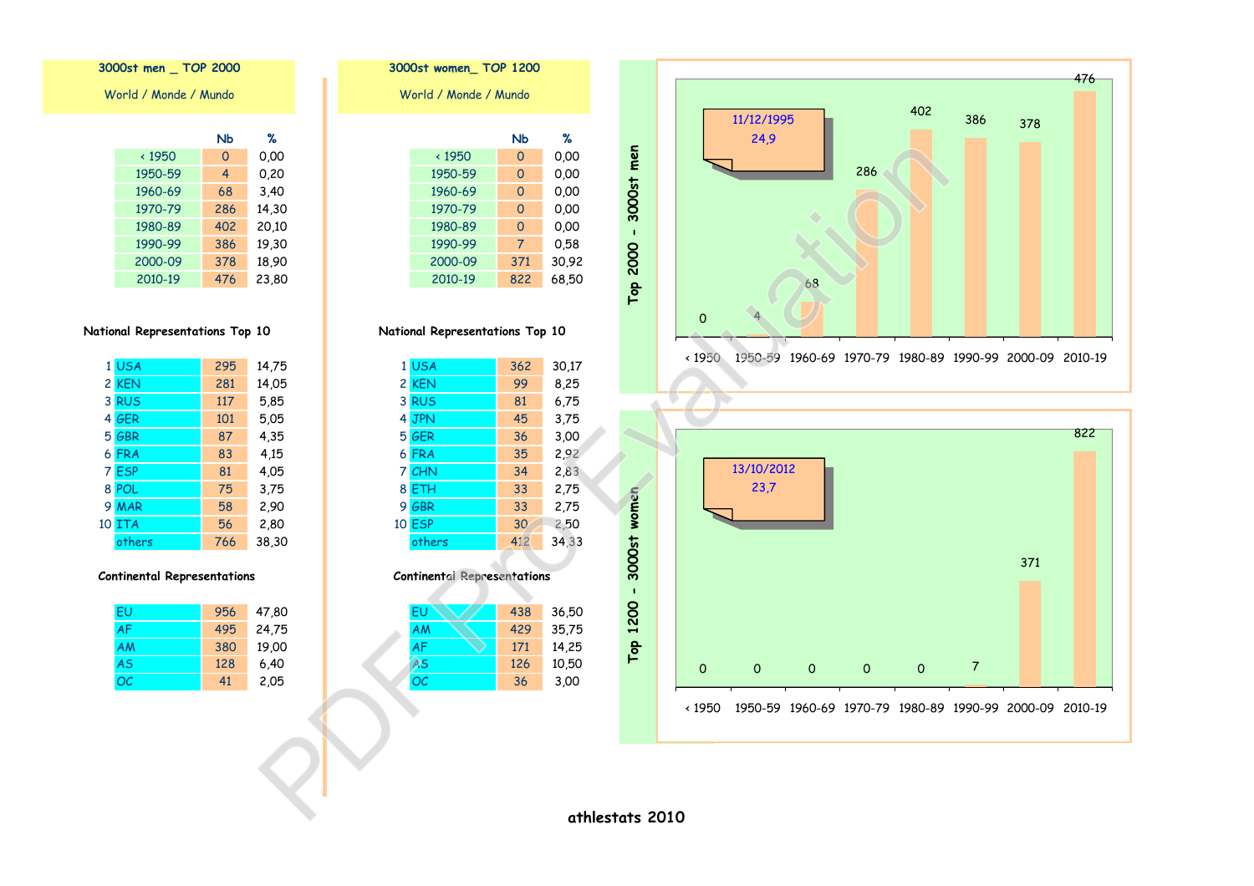| 11/12/1995<br>24,9 | 286 | 402 | 386 | 378 |  |
|--------------------|-----|-----|-----|-----|--|
|                    |     |     |     |     |  |
| 68                 |     |     |     |     |  |





National Representations Top 10

|   | 1 USA  | 362 | 30,17 |
|---|--------|-----|-------|
|   | 2 KEN  | 99  | 8,25  |
|   | 3 RUS  | 81  | 6,75  |
|   | 4 JPN  | 45  | 3,75  |
|   | 5 GER  | 36  | 3,00  |
|   | 6 FRA  | 35  | 2,92  |
|   | 7 CHN  | 34  | 2,83  |
|   | 8 ETH  | 33  | 2,75  |
| 9 | GBR    | 33  | 2,75  |
|   | 10 ESP | 30  | 2,50  |
|   | others | 412 | 34,33 |

**Continental Representations** 

| EU | 438 | 36,50 |
|----|-----|-------|
| AM | 429 | 35,75 |
| AF | 171 | 14,25 |
| AS | 126 | 10,50 |
| OC | 36  | 3,00  |
|    |     |       |

3000st men \_ TOP 2000

World / Monde / Mundo

|               | NЬ  | ℅     |
|---------------|-----|-------|
| $\times$ 1950 | 0   | 0.00  |
| 1950-59       | 4   | 0.20  |
| 1960-69       | 68  | 3,40  |
| 1970-79       | 286 | 14,30 |
| 1980-89       | 402 | 20,10 |
| 1990-99       | 386 | 19,30 |
| 2000-09       | 378 | 18,90 |
| 2010-19       | 476 | 23.80 |

National Representations Top 10

|    | 1 USA      | 295 | 14,75 |
|----|------------|-----|-------|
|    | 2 KEN      | 281 | 14,05 |
| 3  | <b>RUS</b> | 117 | 5,85  |
|    | 4 GER      | 101 | 5.05  |
|    | 5 GBR      | 87  | 4,35  |
|    | 6 FRA      | 83  | 4,15  |
|    | 7 ESP      | 81  | 4,05  |
|    | 8 POL      | 75  | 3,75  |
| 9  | <b>MAR</b> | 58  | 2,90  |
| 10 | <b>ITA</b> | 56  | 2,80  |
|    | others     | 766 | 38,30 |

#### **Continental Representations**

| EU        | 956 | 47,80 |
|-----------|-----|-------|
| <b>AF</b> | 495 | 24,75 |
| <b>AM</b> | 380 | 19,00 |
| AS        | 128 | 6,40  |
| OC        | 41  | 2,05  |

athlestats 2010

Top 2000 - 3000st men